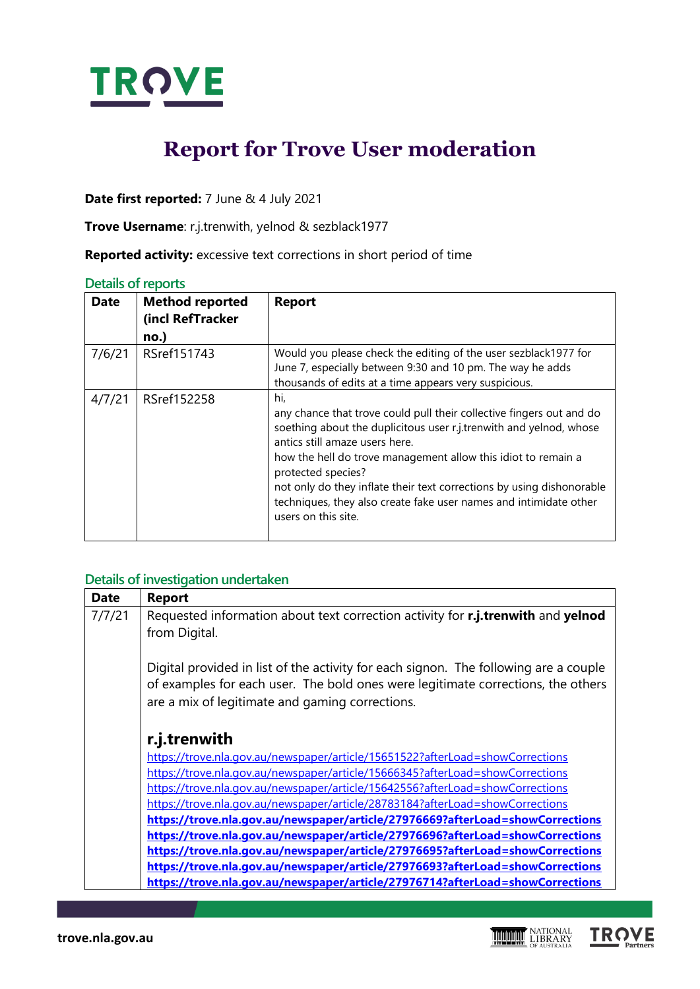

# **Report for Trove User moderation**

**Date first reported:** 7 June & 4 July 2021

**Trove Username**: r.j.trenwith, yelnod & sezblack1977

**Reported activity:** excessive text corrections in short period of time

### **Details of reports**

| <b>Date</b> | <b>Method reported</b><br>(incl RefTracker<br>no.) | <b>Report</b>                                                                                                                                                                                                                                                                                                                                                                                                                                   |
|-------------|----------------------------------------------------|-------------------------------------------------------------------------------------------------------------------------------------------------------------------------------------------------------------------------------------------------------------------------------------------------------------------------------------------------------------------------------------------------------------------------------------------------|
| 7/6/21      | RSref151743                                        | Would you please check the editing of the user sezblack1977 for<br>June 7, especially between 9:30 and 10 pm. The way he adds<br>thousands of edits at a time appears very suspicious.                                                                                                                                                                                                                                                          |
| 4/7/21      | RSref152258                                        | hi,<br>any chance that trove could pull their collective fingers out and do<br>soething about the duplicitous user r.j.trenwith and yelnod, whose<br>antics still amaze users here.<br>how the hell do trove management allow this idiot to remain a<br>protected species?<br>not only do they inflate their text corrections by using dishonorable<br>techniques, they also create fake user names and intimidate other<br>users on this site. |

## **Details of investigation undertaken**

| <b>Date</b> | <b>Report</b>                                                                                                                                                                                                               |
|-------------|-----------------------------------------------------------------------------------------------------------------------------------------------------------------------------------------------------------------------------|
| 7/7/21      | Requested information about text correction activity for r.j.trenwith and yelnod                                                                                                                                            |
|             | from Digital.                                                                                                                                                                                                               |
|             | Digital provided in list of the activity for each signon. The following are a couple<br>of examples for each user. The bold ones were legitimate corrections, the others<br>are a mix of legitimate and gaming corrections. |
|             | r.j.trenwith                                                                                                                                                                                                                |
|             | https://trove.nla.gov.au/newspaper/article/15651522?afterLoad=showCorrections                                                                                                                                               |
|             | https://trove.nla.gov.au/newspaper/article/15666345?afterLoad=showCorrections                                                                                                                                               |
|             | https://trove.nla.gov.au/newspaper/article/15642556?afterLoad=showCorrections                                                                                                                                               |
|             | https://trove.nla.gov.au/newspaper/article/28783184?afterLoad=showCorrections                                                                                                                                               |
|             | https://trove.nla.gov.au/newspaper/article/27976669?afterLoad=showCorrections                                                                                                                                               |
|             | https://trove.nla.gov.au/newspaper/article/27976696?afterLoad=showCorrections                                                                                                                                               |
|             | https://trove.nla.gov.au/newspaper/article/27976695?afterLoad=showCorrections                                                                                                                                               |
|             | https://trove.nla.gov.au/newspaper/article/27976693?afterLoad=showCorrections                                                                                                                                               |
|             | https://trove.nla.gov.au/newspaper/article/27976714?afterLoad=showCorrections                                                                                                                                               |

**TROVE** 

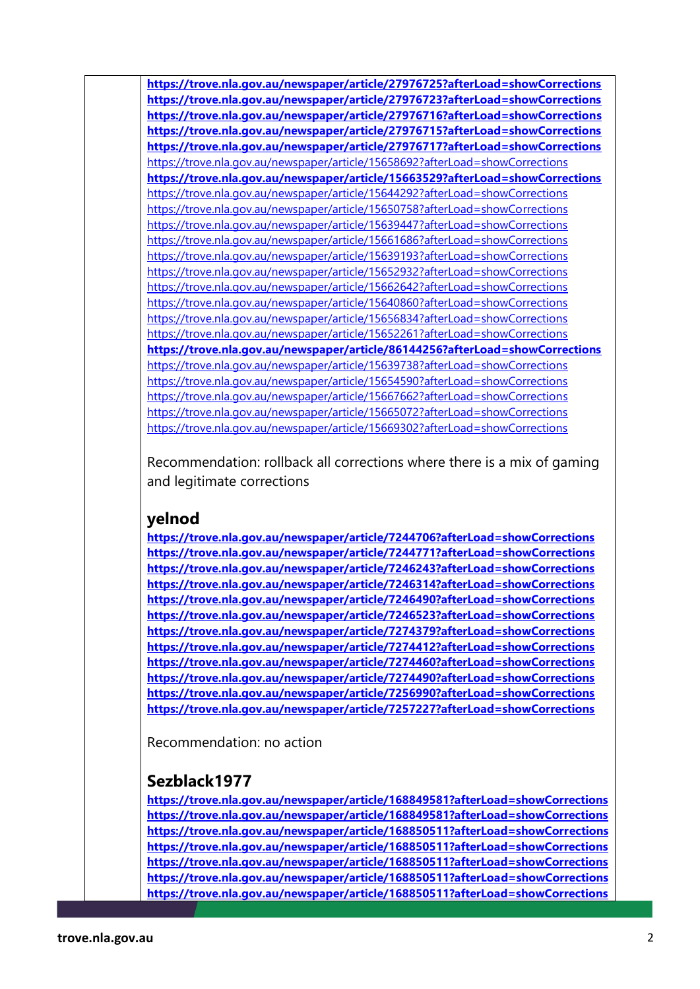**<https://trove.nla.gov.au/newspaper/article/27976725?afterLoad=showCorrections> <https://trove.nla.gov.au/newspaper/article/27976723?afterLoad=showCorrections> <https://trove.nla.gov.au/newspaper/article/27976716?afterLoad=showCorrections> <https://trove.nla.gov.au/newspaper/article/27976715?afterLoad=showCorrections> <https://trove.nla.gov.au/newspaper/article/27976717?afterLoad=showCorrections>** <https://trove.nla.gov.au/newspaper/article/15658692?afterLoad=showCorrections> **<https://trove.nla.gov.au/newspaper/article/15663529?afterLoad=showCorrections>** <https://trove.nla.gov.au/newspaper/article/15644292?afterLoad=showCorrections> <https://trove.nla.gov.au/newspaper/article/15650758?afterLoad=showCorrections> <https://trove.nla.gov.au/newspaper/article/15639447?afterLoad=showCorrections> <https://trove.nla.gov.au/newspaper/article/15661686?afterLoad=showCorrections> <https://trove.nla.gov.au/newspaper/article/15639193?afterLoad=showCorrections> <https://trove.nla.gov.au/newspaper/article/15652932?afterLoad=showCorrections> <https://trove.nla.gov.au/newspaper/article/15662642?afterLoad=showCorrections> <https://trove.nla.gov.au/newspaper/article/15640860?afterLoad=showCorrections> <https://trove.nla.gov.au/newspaper/article/15656834?afterLoad=showCorrections> <https://trove.nla.gov.au/newspaper/article/15652261?afterLoad=showCorrections> **<https://trove.nla.gov.au/newspaper/article/86144256?afterLoad=showCorrections>** <https://trove.nla.gov.au/newspaper/article/15639738?afterLoad=showCorrections> <https://trove.nla.gov.au/newspaper/article/15654590?afterLoad=showCorrections> <https://trove.nla.gov.au/newspaper/article/15667662?afterLoad=showCorrections> <https://trove.nla.gov.au/newspaper/article/15665072?afterLoad=showCorrections> <https://trove.nla.gov.au/newspaper/article/15669302?afterLoad=showCorrections>

Recommendation: rollback all corrections where there is a mix of gaming and legitimate corrections

## **yelnod**

**<https://trove.nla.gov.au/newspaper/article/7244706?afterLoad=showCorrections> <https://trove.nla.gov.au/newspaper/article/7244771?afterLoad=showCorrections> <https://trove.nla.gov.au/newspaper/article/7246243?afterLoad=showCorrections> <https://trove.nla.gov.au/newspaper/article/7246314?afterLoad=showCorrections> <https://trove.nla.gov.au/newspaper/article/7246490?afterLoad=showCorrections> <https://trove.nla.gov.au/newspaper/article/7246523?afterLoad=showCorrections> <https://trove.nla.gov.au/newspaper/article/7274379?afterLoad=showCorrections> <https://trove.nla.gov.au/newspaper/article/7274412?afterLoad=showCorrections> <https://trove.nla.gov.au/newspaper/article/7274460?afterLoad=showCorrections> <https://trove.nla.gov.au/newspaper/article/7274490?afterLoad=showCorrections> <https://trove.nla.gov.au/newspaper/article/7256990?afterLoad=showCorrections> <https://trove.nla.gov.au/newspaper/article/7257227?afterLoad=showCorrections>**

Recommendation: no action

# **Sezblack1977**

**<https://trove.nla.gov.au/newspaper/article/168849581?afterLoad=showCorrections> <https://trove.nla.gov.au/newspaper/article/168849581?afterLoad=showCorrections> <https://trove.nla.gov.au/newspaper/article/168850511?afterLoad=showCorrections> <https://trove.nla.gov.au/newspaper/article/168850511?afterLoad=showCorrections> <https://trove.nla.gov.au/newspaper/article/168850511?afterLoad=showCorrections> <https://trove.nla.gov.au/newspaper/article/168850511?afterLoad=showCorrections> <https://trove.nla.gov.au/newspaper/article/168850511?afterLoad=showCorrections>**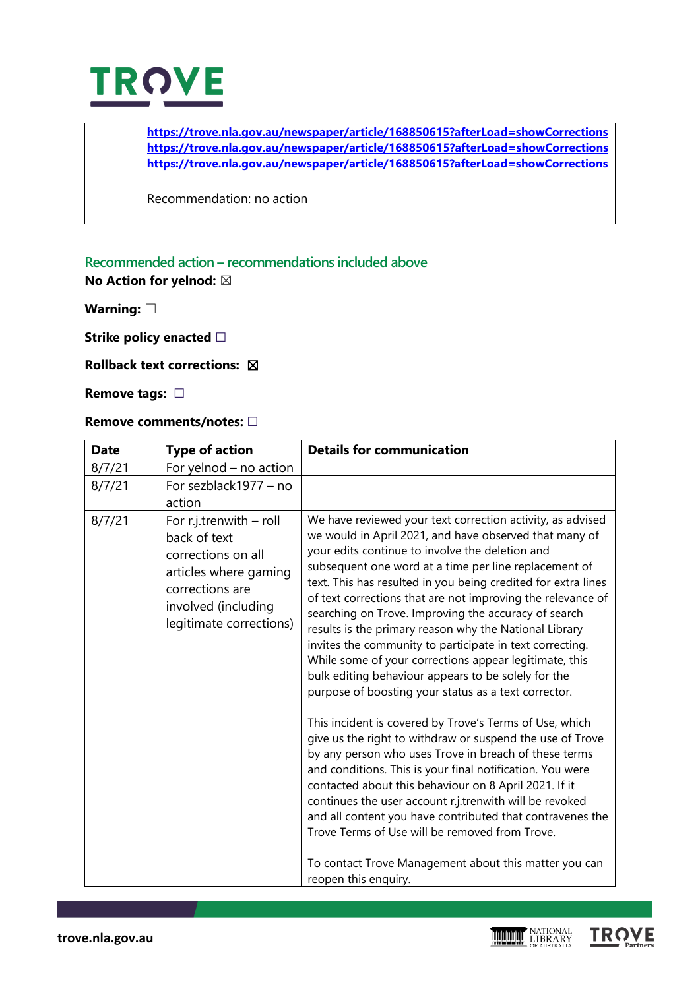

**<https://trove.nla.gov.au/newspaper/article/168850615?afterLoad=showCorrections> <https://trove.nla.gov.au/newspaper/article/168850615?afterLoad=showCorrections> <https://trove.nla.gov.au/newspaper/article/168850615?afterLoad=showCorrections>**

Recommendation: no action

## **Recommended action – recommendations included above**

**No Action for yelnod:** ☒

**Warning:** ☐

**Strike policy enacted** □

#### **Rollback text corrections:** ☒

**Remove tags:** ☐

#### **Remove comments/notes:** ☐

| <b>Date</b> | <b>Type of action</b>                                                                                                                                         | <b>Details for communication</b>                                                                                                                                                                                                                                                                                                                                                                                                                                                                                                                                                                                                                                                                                                                                                                                                                |
|-------------|---------------------------------------------------------------------------------------------------------------------------------------------------------------|-------------------------------------------------------------------------------------------------------------------------------------------------------------------------------------------------------------------------------------------------------------------------------------------------------------------------------------------------------------------------------------------------------------------------------------------------------------------------------------------------------------------------------------------------------------------------------------------------------------------------------------------------------------------------------------------------------------------------------------------------------------------------------------------------------------------------------------------------|
| 8/7/21      | For yelnod - no action                                                                                                                                        |                                                                                                                                                                                                                                                                                                                                                                                                                                                                                                                                                                                                                                                                                                                                                                                                                                                 |
| 8/7/21      | For sezblack1977 - no<br>action                                                                                                                               |                                                                                                                                                                                                                                                                                                                                                                                                                                                                                                                                                                                                                                                                                                                                                                                                                                                 |
| 8/7/21      | For $r.j.trenwith$ – roll<br>back of text<br>corrections on all<br>articles where gaming<br>corrections are<br>involved (including<br>legitimate corrections) | We have reviewed your text correction activity, as advised<br>we would in April 2021, and have observed that many of<br>your edits continue to involve the deletion and<br>subsequent one word at a time per line replacement of<br>text. This has resulted in you being credited for extra lines<br>of text corrections that are not improving the relevance of<br>searching on Trove. Improving the accuracy of search<br>results is the primary reason why the National Library<br>invites the community to participate in text correcting.<br>While some of your corrections appear legitimate, this<br>bulk editing behaviour appears to be solely for the<br>purpose of boosting your status as a text corrector.<br>This incident is covered by Trove's Terms of Use, which<br>give us the right to withdraw or suspend the use of Trove |
|             |                                                                                                                                                               | by any person who uses Trove in breach of these terms<br>and conditions. This is your final notification. You were<br>contacted about this behaviour on 8 April 2021. If it<br>continues the user account r.j.trenwith will be revoked<br>and all content you have contributed that contravenes the<br>Trove Terms of Use will be removed from Trove.<br>To contact Trove Management about this matter you can<br>reopen this enquiry.                                                                                                                                                                                                                                                                                                                                                                                                          |